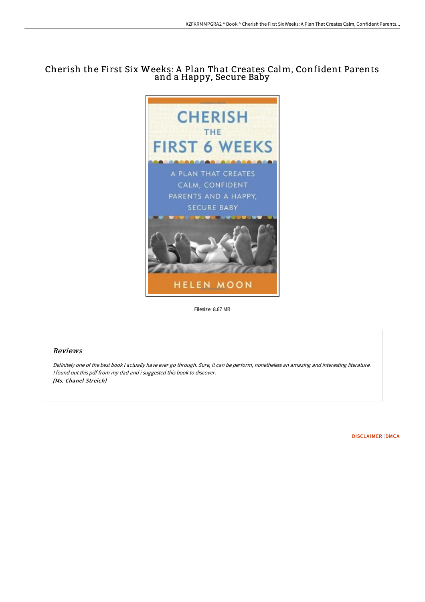# Cherish the First Six Weeks: A Plan That Creates Calm, Confident Parents and a Happy, Secure Baby



Filesize: 8.67 MB

# Reviews

Definitely one of the best book <sup>I</sup> actually have ever go through. Sure, it can be perform, nonetheless an amazing and interesting literature. <sup>I</sup> found out this pdf from my dad and i suggested this book to discover. (Ms. Chanel Streich)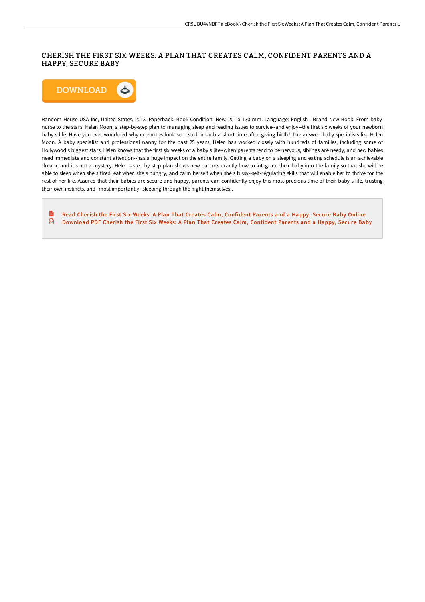## CHERISH THE FIRST SIX WEEKS: A PLAN THAT CREATES CALM, CONFIDENT PARENTS AND A HAPPY, SECURE BABY



Random House USA Inc, United States, 2013. Paperback. Book Condition: New. 201 x 130 mm. Language: English . Brand New Book. From baby nurse to the stars, Helen Moon, a step-by-step plan to managing sleep and feeding issues to survive--and enjoy--the first six weeks of your newborn baby s life. Have you ever wondered why celebrities look so rested in such a short time after giving birth? The answer: baby specialists like Helen Moon. A baby specialist and professional nanny for the past 25 years, Helen has worked closely with hundreds of families, including some of Hollywood s biggest stars. Helen knows that the first six weeks of a baby s life--when parents tend to be nervous, siblings are needy, and new babies need immediate and constant attention--has a huge impact on the entire family. Getting a baby on a sleeping and eating schedule is an achievable dream, and it s not a mystery. Helen s step-by-step plan shows new parents exactly how to integrate their baby into the family so that she will be able to sleep when she s tired, eat when she s hungry, and calm herself when she s fussy--self-regulating skills that will enable her to thrive for the rest of her life. Assured that their babies are secure and happy, parents can confidently enjoy this most precious time of their baby s life, trusting their own instincts, and--most importantly--sleeping through the night themselves!.

 $\frac{1}{10}$ Read Cherish the First Six Weeks: A Plan That Creates Calm, [Confident](http://techno-pub.tech/cherish-the-first-six-weeks-a-plan-that-creates-.html) Parents and a Happy, Secure Baby Online 画 [Download](http://techno-pub.tech/cherish-the-first-six-weeks-a-plan-that-creates-.html) PDF Cherish the First Six Weeks: A Plan That Creates Calm, Confident Parents and a Happy, Secure Baby